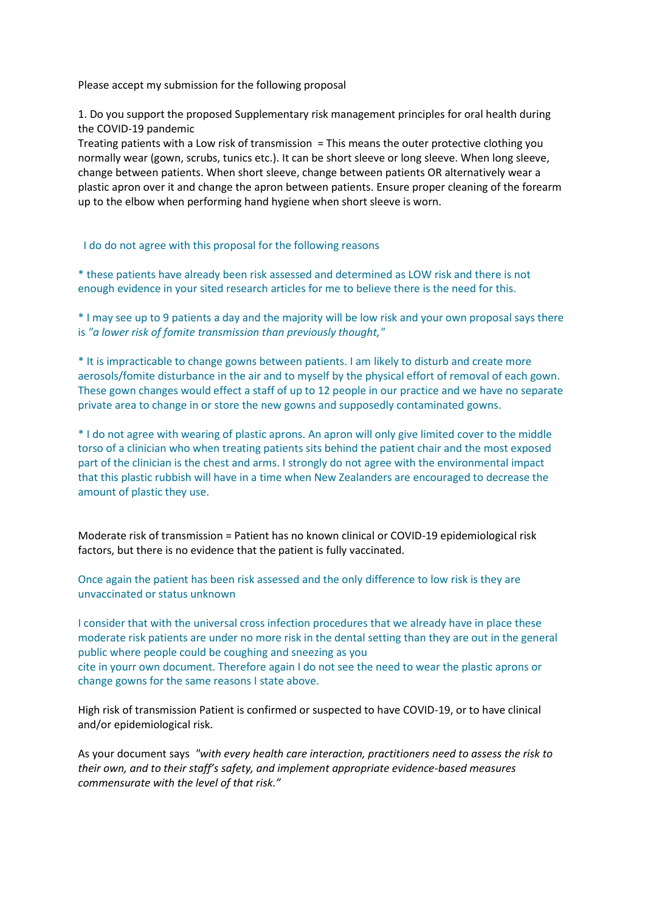Please accept my submission for the following proposal

1. Do you support the proposed Supplementary risk management principles for oral health during the COVID-19 pandemic

Treating patients with a Low risk of transmission = This means the outer protective clothing you normally wear (gown, scrubs, tunics etc.). It can be short sleeve or long sleeve. When long sleeve, change between patients. When short sleeve, change between patients OR alternatively wear a plastic apron over it and change the apron between patients. Ensure proper cleaning of the forearm up to the elbow when performing hand hygiene when short sleeve is worn.

I do do not agree with this proposal for the following reasons

\* these patients have already been risk assessed and determined as LOW risk and there is not enough evidence in your sited research articles for me to believe there is the need for this.

\* I may see up to 9 patients a day and the majority will be low risk and your own proposal says there is *"a lower risk of fomite transmission than previously thought,"*

\* It is impracticable to change gowns between patients. I am likely to disturb and create more aerosols/fomite disturbance in the air and to myself by the physical effort of removal of each gown. These gown changes would effect a staff of up to 12 people in our practice and we have no separate private area to change in or store the new gowns and supposedly contaminated gowns.

\* I do not agree with wearing of plastic aprons. An apron will only give limited cover to the middle torso of a clinician who when treating patients sits behind the patient chair and the most exposed part of the clinician is the chest and arms. I strongly do not agree with the environmental impact that this plastic rubbish will have in a time when New Zealanders are encouraged to decrease the amount of plastic they use.

Moderate risk of transmission = Patient has no known clinical or COVID-19 epidemiological risk factors, but there is no evidence that the patient is fully vaccinated.

Once again the patient has been risk assessed and the only difference to low risk is they are unvaccinated or status unknown

I consider that with the universal cross infection procedures that we already have in place these moderate risk patients are under no more risk in the dental setting than they are out in the general public where people could be coughing and sneezing as you cite in yourr own document. Therefore again I do not see the need to wear the plastic aprons or change gowns for the same reasons I state above.

High risk of transmission Patient is confirmed or suspected to have COVID-19, or to have clinical and/or epidemiological risk.

As your document says *"with every health care interaction, practitioners need to assess the risk to their own, and to their staff's safety, and implement appropriate evidence-based measures commensurate with the level of that risk."*